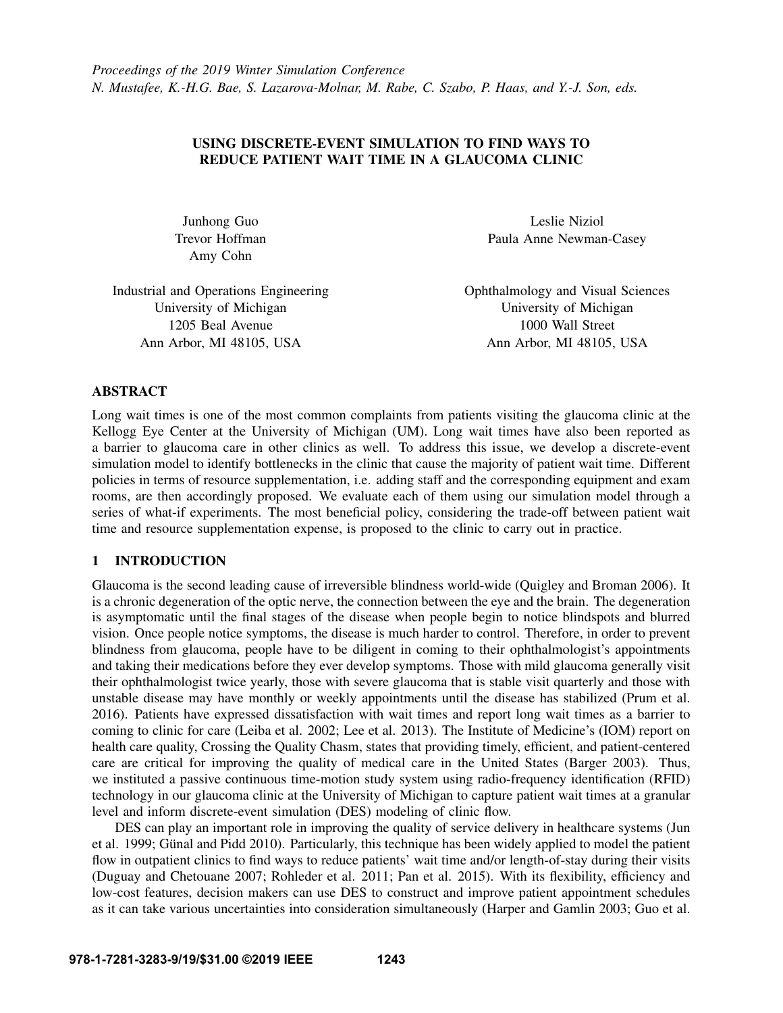# USING DISCRETE-EVENT SIMULATION TO FIND WAYS TO REDUCE PATIENT WAIT TIME IN A GLAUCOMA CLINIC

Amy Cohn

Junhong Guo Leslie Niziol Trevor Hoffman Paula Anne Newman-Casey

Industrial and Operations Engineering Ophthalmology and Visual Sciences University of Michigan University of Michigan 1205 Beal Avenue 1000 Wall Street Ann Arbor, MI 48105, USA **Ann Arbor, MI 48105, USA** Ann Arbor, MI 48105, USA

## ABSTRACT

Long wait times is one of the most common complaints from patients visiting the glaucoma clinic at the Kellogg Eye Center at the University of Michigan (UM). Long wait times have also been reported as a barrier to glaucoma care in other clinics as well. To address this issue, we develop a discrete-event simulation model to identify bottlenecks in the clinic that cause the majority of patient wait time. Different policies in terms of resource supplementation, i.e. adding staff and the corresponding equipment and exam rooms, are then accordingly proposed. We evaluate each of them using our simulation model through a series of what-if experiments. The most beneficial policy, considering the trade-off between patient wait time and resource supplementation expense, is proposed to the clinic to carry out in practice.

# 1 INTRODUCTION

Glaucoma is the second leading cause of irreversible blindness world-wide [\(Quigley and Broman 2006\)](#page-11-0). It is a chronic degeneration of the optic nerve, the connection between the eye and the brain. The degeneration is asymptomatic until the final stages of the disease when people begin to notice blindspots and blurred vision. Once people notice symptoms, the disease is much harder to control. Therefore, in order to prevent blindness from glaucoma, people have to be diligent in coming to their ophthalmologist's appointments and taking their medications before they ever develop symptoms. Those with mild glaucoma generally visit their ophthalmologist twice yearly, those with severe glaucoma that is stable visit quarterly and those with unstable disease may have monthly or weekly appointments until the disease has stabilized [\(Prum et al.](#page-11-1) [2016\)](#page-11-1). Patients have expressed dissatisfaction with wait times and report long wait times as a barrier to coming to clinic for care [\(Leiba et al. 2002;](#page-11-2) [Lee et al. 2013\)](#page-11-3). The Institute of Medicine's (IOM) report on health care quality, Crossing the Quality Chasm, states that providing timely, efficient, and patient-centered care are critical for improving the quality of medical care in the United States [\(Barger 2003\)](#page-10-0). Thus, we instituted a passive continuous time-motion study system using radio-frequency identification (RFID) technology in our glaucoma clinic at the University of Michigan to capture patient wait times at a granular level and inform discrete-event simulation (DES) modeling of clinic flow.

DES can play an important role in improving the quality of service delivery in healthcare systems [\(Jun](#page-11-4) [et al. 1999;](#page-11-4) Günal and Pidd 2010). Particularly, this technique has been widely applied to model the patient flow in outpatient clinics to find ways to reduce patients' wait time and/or length-of-stay during their visits [\(Duguay and Chetouane 2007;](#page-10-2) [Rohleder et al. 2011;](#page-11-5) [Pan et al. 2015\)](#page-11-6). With its flexibility, efficiency and low-cost features, decision makers can use DES to construct and improve patient appointment schedules as it can take various uncertainties into consideration simultaneously [\(Harper and Gamlin 2003;](#page-10-3) [Guo et al.](#page-10-4)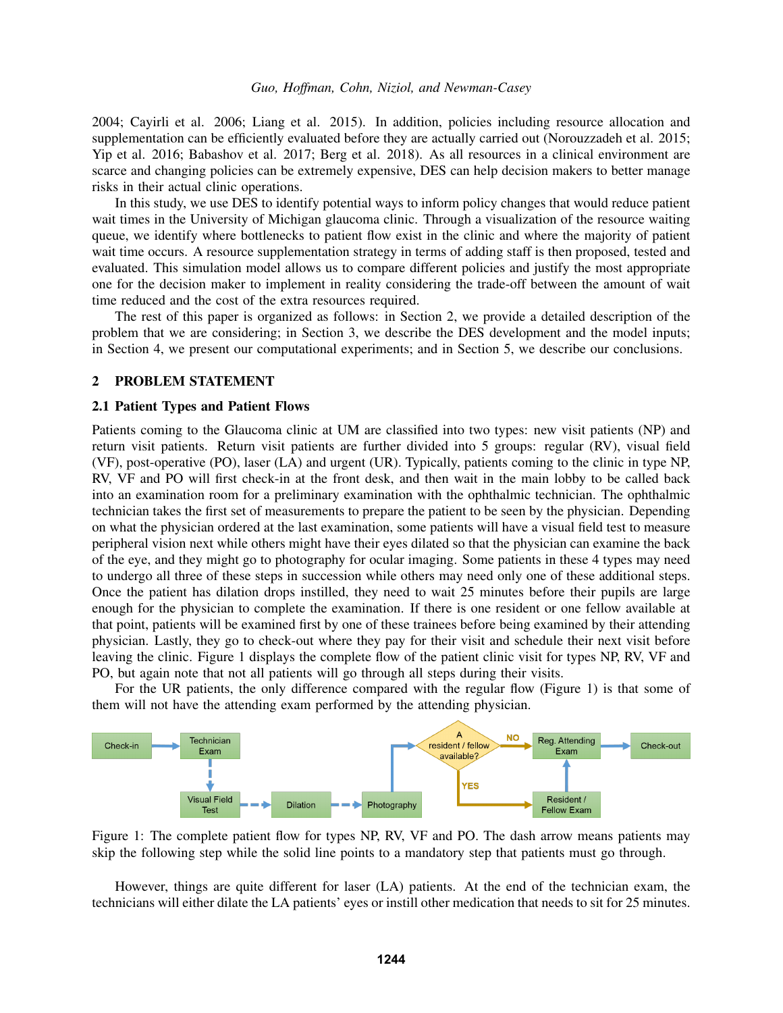[2004;](#page-10-4) [Cayirli et al. 2006;](#page-10-5) [Liang et al. 2015\)](#page-11-7). In addition, policies including resource allocation and supplementation can be efficiently evaluated before they are actually carried out [\(Norouzzadeh et al. 2015;](#page-11-8) [Yip et al. 2016;](#page-11-9) [Babashov et al. 2017;](#page-10-6) [Berg et al. 2018\)](#page-10-7). As all resources in a clinical environment are scarce and changing policies can be extremely expensive, DES can help decision makers to better manage risks in their actual clinic operations.

In this study, we use DES to identify potential ways to inform policy changes that would reduce patient wait times in the University of Michigan glaucoma clinic. Through a visualization of the resource waiting queue, we identify where bottlenecks to patient flow exist in the clinic and where the majority of patient wait time occurs. A resource supplementation strategy in terms of adding staff is then proposed, tested and evaluated. This simulation model allows us to compare different policies and justify the most appropriate one for the decision maker to implement in reality considering the trade-off between the amount of wait time reduced and the cost of the extra resources required.

The rest of this paper is organized as follows: in Section [2,](#page-1-0) we provide a detailed description of the problem that we are considering; in Section [3,](#page-3-0) we describe the DES development and the model inputs; in Section [4,](#page-5-0) we present our computational experiments; and in Section [5,](#page-10-8) we describe our conclusions.

## <span id="page-1-0"></span>2 PROBLEM STATEMENT

#### 2.1 Patient Types and Patient Flows

Patients coming to the Glaucoma clinic at UM are classified into two types: new visit patients (NP) and return visit patients. Return visit patients are further divided into 5 groups: regular (RV), visual field (VF), post-operative (PO), laser (LA) and urgent (UR). Typically, patients coming to the clinic in type NP, RV, VF and PO will first check-in at the front desk, and then wait in the main lobby to be called back into an examination room for a preliminary examination with the ophthalmic technician. The ophthalmic technician takes the first set of measurements to prepare the patient to be seen by the physician. Depending on what the physician ordered at the last examination, some patients will have a visual field test to measure peripheral vision next while others might have their eyes dilated so that the physician can examine the back of the eye, and they might go to photography for ocular imaging. Some patients in these 4 types may need to undergo all three of these steps in succession while others may need only one of these additional steps. Once the patient has dilation drops instilled, they need to wait 25 minutes before their pupils are large enough for the physician to complete the examination. If there is one resident or one fellow available at that point, patients will be examined first by one of these trainees before being examined by their attending physician. Lastly, they go to check-out where they pay for their visit and schedule their next visit before leaving the clinic. Figure [1](#page-1-1) displays the complete flow of the patient clinic visit for types NP, RV, VF and PO, but again note that not all patients will go through all steps during their visits.

For the UR patients, the only difference compared with the regular flow (Figure [1\)](#page-1-1) is that some of them will not have the attending exam performed by the attending physician.

<span id="page-1-1"></span>

Figure 1: The complete patient flow for types NP, RV, VF and PO. The dash arrow means patients may skip the following step while the solid line points to a mandatory step that patients must go through.

However, things are quite different for laser (LA) patients. At the end of the technician exam, the technicians will either dilate the LA patients' eyes or instill other medication that needs to sit for 25 minutes.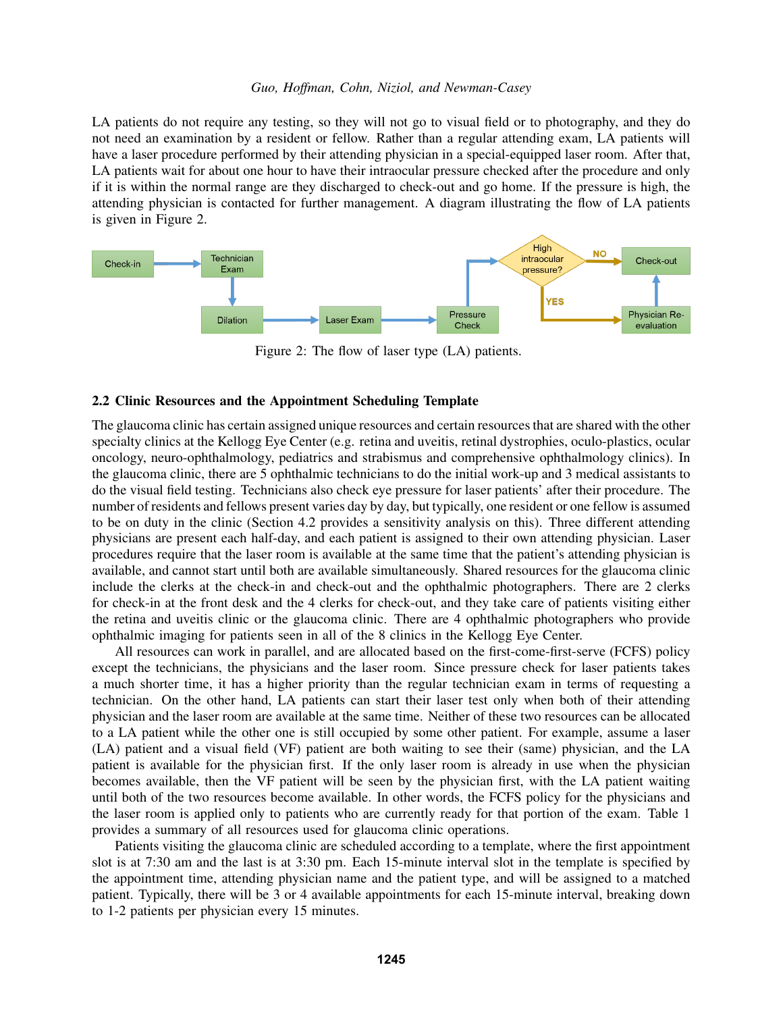LA patients do not require any testing, so they will not go to visual field or to photography, and they do not need an examination by a resident or fellow. Rather than a regular attending exam, LA patients will have a laser procedure performed by their attending physician in a special-equipped laser room. After that, LA patients wait for about one hour to have their intraocular pressure checked after the procedure and only if it is within the normal range are they discharged to check-out and go home. If the pressure is high, the attending physician is contacted for further management. A diagram illustrating the flow of LA patients is given in Figure [2.](#page-2-0)

<span id="page-2-0"></span>

Figure 2: The flow of laser type (LA) patients.

## 2.2 Clinic Resources and the Appointment Scheduling Template

The glaucoma clinic has certain assigned unique resources and certain resources that are shared with the other specialty clinics at the Kellogg Eye Center (e.g. retina and uveitis, retinal dystrophies, oculo-plastics, ocular oncology, neuro-ophthalmology, pediatrics and strabismus and comprehensive ophthalmology clinics). In the glaucoma clinic, there are 5 ophthalmic technicians to do the initial work-up and 3 medical assistants to do the visual field testing. Technicians also check eye pressure for laser patients' after their procedure. The number of residents and fellows present varies day by day, but typically, one resident or one fellow is assumed to be on duty in the clinic (Section [4.2](#page-5-1) provides a sensitivity analysis on this). Three different attending physicians are present each half-day, and each patient is assigned to their own attending physician. Laser procedures require that the laser room is available at the same time that the patient's attending physician is available, and cannot start until both are available simultaneously. Shared resources for the glaucoma clinic include the clerks at the check-in and check-out and the ophthalmic photographers. There are 2 clerks for check-in at the front desk and the 4 clerks for check-out, and they take care of patients visiting either the retina and uveitis clinic or the glaucoma clinic. There are 4 ophthalmic photographers who provide ophthalmic imaging for patients seen in all of the 8 clinics in the Kellogg Eye Center.

All resources can work in parallel, and are allocated based on the first-come-first-serve (FCFS) policy except the technicians, the physicians and the laser room. Since pressure check for laser patients takes a much shorter time, it has a higher priority than the regular technician exam in terms of requesting a technician. On the other hand, LA patients can start their laser test only when both of their attending physician and the laser room are available at the same time. Neither of these two resources can be allocated to a LA patient while the other one is still occupied by some other patient. For example, assume a laser (LA) patient and a visual field (VF) patient are both waiting to see their (same) physician, and the LA patient is available for the physician first. If the only laser room is already in use when the physician becomes available, then the VF patient will be seen by the physician first, with the LA patient waiting until both of the two resources become available. In other words, the FCFS policy for the physicians and the laser room is applied only to patients who are currently ready for that portion of the exam. Table [1](#page-3-1) provides a summary of all resources used for glaucoma clinic operations.

Patients visiting the glaucoma clinic are scheduled according to a template, where the first appointment slot is at 7:30 am and the last is at 3:30 pm. Each 15-minute interval slot in the template is specified by the appointment time, attending physician name and the patient type, and will be assigned to a matched patient. Typically, there will be 3 or 4 available appointments for each 15-minute interval, breaking down to 1-2 patients per physician every 15 minutes.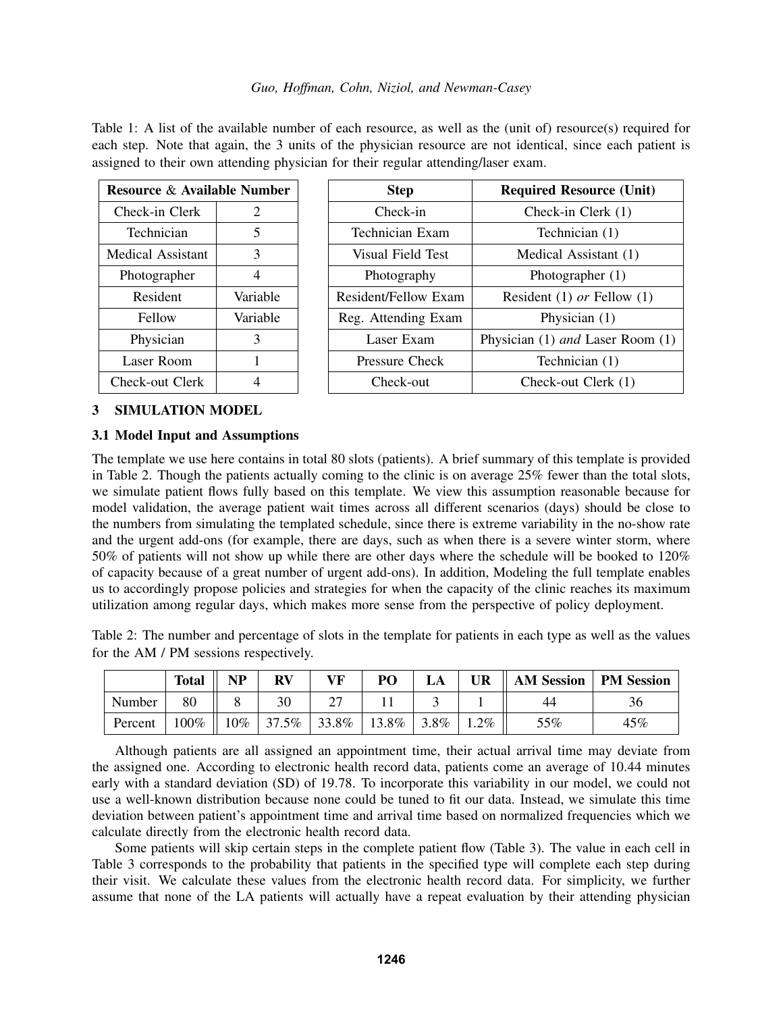<span id="page-3-1"></span>Table 1: A list of the available number of each resource, as well as the (unit of) resource(s) required for each step. Note that again, the 3 units of the physician resource are not identical, since each patient is assigned to their own attending physician for their regular attending/laser exam.

| <b>Resource &amp; Available Number</b> |                | <b>Step</b>          | <b>Required Resource (Unit)</b>  |
|----------------------------------------|----------------|----------------------|----------------------------------|
| Check-in Clerk                         | $\overline{2}$ | Check-in             | Check-in Clerk $(1)$             |
| Technician                             | 5              | Technician Exam      | Technician (1)                   |
| Medical Assistant                      | 3              | Visual Field Test    | Medical Assistant (1)            |
| Photographer                           | 4              | Photography          | Photographer $(1)$               |
| Resident                               | Variable       | Resident/Fellow Exam | Resident (1) or Fellow (1)       |
| Fellow                                 | Variable       | Reg. Attending Exam  | Physician $(1)$                  |
| Physician                              | 3              | Laser Exam           | Physician (1) and Laser Room (1) |
| Laser Room                             | 1              | Pressure Check       | Technician (1)                   |
| Check-out Clerk                        | 4              | Check-out            | Check-out Clerk (1)              |

# <span id="page-3-0"></span>3 SIMULATION MODEL

# <span id="page-3-3"></span>3.1 Model Input and Assumptions

The template we use here contains in total 80 slots (patients). A brief summary of this template is provided in Table [2.](#page-3-2) Though the patients actually coming to the clinic is on average 25% fewer than the total slots, we simulate patient flows fully based on this template. We view this assumption reasonable because for model validation, the average patient wait times across all different scenarios (days) should be close to the numbers from simulating the templated schedule, since there is extreme variability in the no-show rate and the urgent add-ons (for example, there are days, such as when there is a severe winter storm, where 50% of patients will not show up while there are other days where the schedule will be booked to 120% of capacity because of a great number of urgent add-ons). In addition, Modeling the full template enables us to accordingly propose policies and strategies for when the capacity of the clinic reaches its maximum utilization among regular days, which makes more sense from the perspective of policy deployment.

<span id="page-3-2"></span>Table 2: The number and percentage of slots in the template for patients in each type as well as the values for the AM / PM sessions respectively.

|         | <b>Total</b> | <b>NP</b> | RV    | VF    | PO    |         | <b>UR</b> | <b>AM Session</b> | <b>PM</b> Session |
|---------|--------------|-----------|-------|-------|-------|---------|-----------|-------------------|-------------------|
| Number  | 80           |           | 30    |       |       |         |           | 44                | 36                |
| Percent | $100\%$      | 10%       | 37.5% | 33.8% | 13.8% | $3.8\%$ | $.2\%$    | 55%               | $45\%$            |

Although patients are all assigned an appointment time, their actual arrival time may deviate from the assigned one. According to electronic health record data, patients come an average of 10.44 minutes early with a standard deviation (SD) of 19.78. To incorporate this variability in our model, we could not use a well-known distribution because none could be tuned to fit our data. Instead, we simulate this time deviation between patient's appointment time and arrival time based on normalized frequencies which we calculate directly from the electronic health record data.

Some patients will skip certain steps in the complete patient flow (Table [3\)](#page-4-0). The value in each cell in Table [3](#page-4-0) corresponds to the probability that patients in the specified type will complete each step during their visit. We calculate these values from the electronic health record data. For simplicity, we further assume that none of the LA patients will actually have a repeat evaluation by their attending physician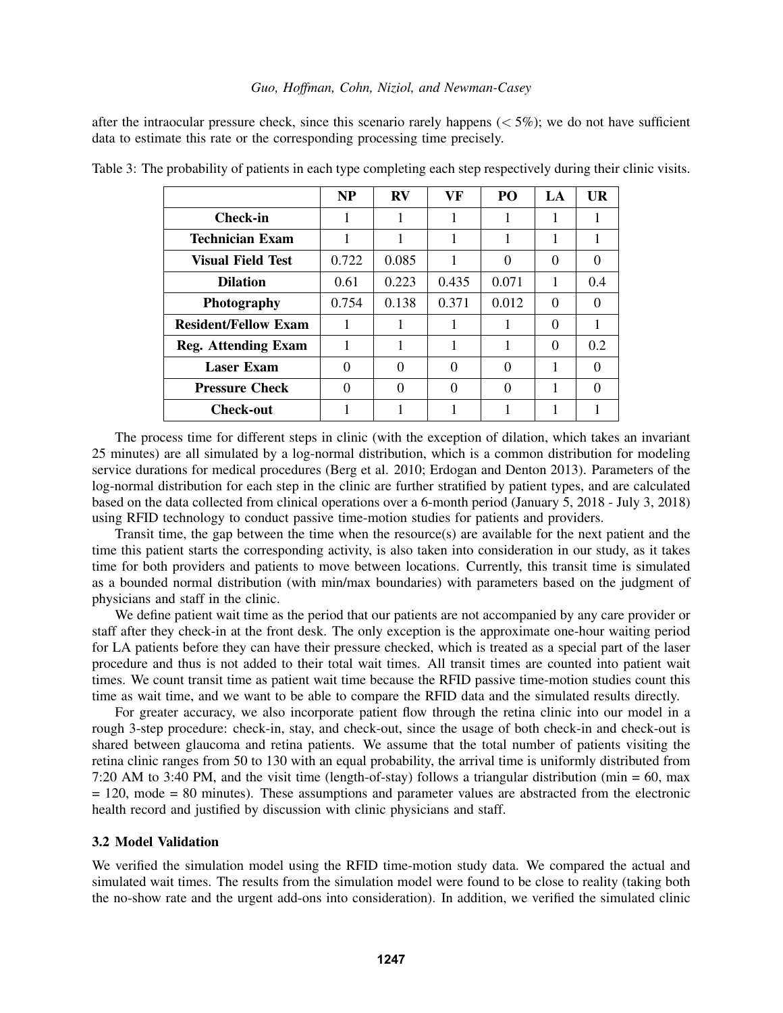after the intraocular pressure check, since this scenario rarely happens ( $\lt 5\%$ ); we do not have sufficient data to estimate this rate or the corresponding processing time precisely.

|                             | <b>NP</b> | $\bf RV$ | VF    | PO <sub>1</sub> | LA       | UR       |
|-----------------------------|-----------|----------|-------|-----------------|----------|----------|
| <b>Check-in</b>             |           |          |       |                 |          |          |
| <b>Technician Exam</b>      |           |          |       |                 |          |          |
| <b>Visual Field Test</b>    | 0.722     | 0.085    |       | 0               | 0        | 0        |
| <b>Dilation</b>             | 0.61      | 0.223    | 0.435 | 0.071           | 1        | 0.4      |
| <b>Photography</b>          | 0.754     | 0.138    | 0.371 | 0.012           | $\Omega$ | $\Omega$ |
| <b>Resident/Fellow Exam</b> |           |          |       |                 | 0        |          |
| <b>Reg. Attending Exam</b>  |           |          |       |                 | 0        | 0.2      |
| <b>Laser Exam</b>           | $\Omega$  | 0        | 0     | 0               | 1        | 0        |
| <b>Pressure Check</b>       | 0         | 0        | 0     | 0               | 1        | $\Omega$ |
| <b>Check-out</b>            |           |          |       |                 |          |          |

<span id="page-4-0"></span>Table 3: The probability of patients in each type completing each step respectively during their clinic visits.

The process time for different steps in clinic (with the exception of dilation, which takes an invariant 25 minutes) are all simulated by a log-normal distribution, which is a common distribution for modeling service durations for medical procedures [\(Berg et al. 2010;](#page-10-9) [Erdogan and Denton 2013\)](#page-10-10). Parameters of the log-normal distribution for each step in the clinic are further stratified by patient types, and are calculated based on the data collected from clinical operations over a 6-month period (January 5, 2018 - July 3, 2018) using RFID technology to conduct passive time-motion studies for patients and providers.

Transit time, the gap between the time when the resource(s) are available for the next patient and the time this patient starts the corresponding activity, is also taken into consideration in our study, as it takes time for both providers and patients to move between locations. Currently, this transit time is simulated as a bounded normal distribution (with min/max boundaries) with parameters based on the judgment of physicians and staff in the clinic.

We define patient wait time as the period that our patients are not accompanied by any care provider or staff after they check-in at the front desk. The only exception is the approximate one-hour waiting period for LA patients before they can have their pressure checked, which is treated as a special part of the laser procedure and thus is not added to their total wait times. All transit times are counted into patient wait times. We count transit time as patient wait time because the RFID passive time-motion studies count this time as wait time, and we want to be able to compare the RFID data and the simulated results directly.

For greater accuracy, we also incorporate patient flow through the retina clinic into our model in a rough 3-step procedure: check-in, stay, and check-out, since the usage of both check-in and check-out is shared between glaucoma and retina patients. We assume that the total number of patients visiting the retina clinic ranges from 50 to 130 with an equal probability, the arrival time is uniformly distributed from 7:20 AM to 3:40 PM, and the visit time (length-of-stay) follows a triangular distribution (min = 60, max = 120, mode = 80 minutes). These assumptions and parameter values are abstracted from the electronic health record and justified by discussion with clinic physicians and staff.

## 3.2 Model Validation

We verified the simulation model using the RFID time-motion study data. We compared the actual and simulated wait times. The results from the simulation model were found to be close to reality (taking both the no-show rate and the urgent add-ons into consideration). In addition, we verified the simulated clinic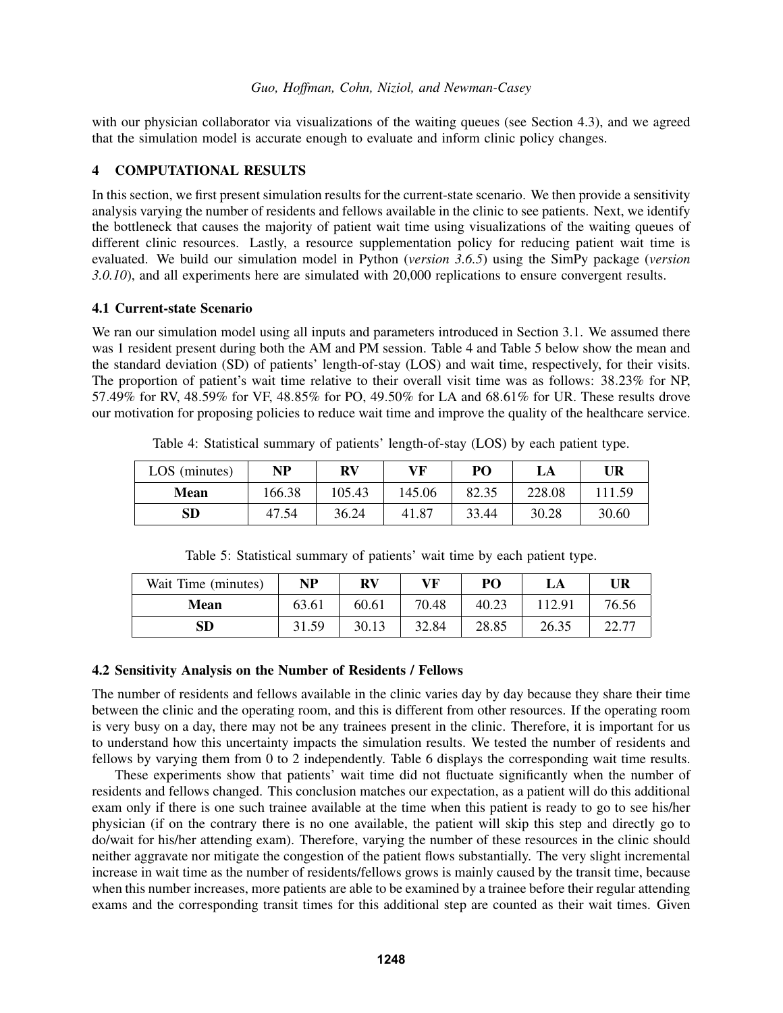with our physician collaborator via visualizations of the waiting queues (see Section [4.3\)](#page-6-0), and we agreed that the simulation model is accurate enough to evaluate and inform clinic policy changes.

# <span id="page-5-0"></span>4 COMPUTATIONAL RESULTS

In this section, we first present simulation results for the current-state scenario. We then provide a sensitivity analysis varying the number of residents and fellows available in the clinic to see patients. Next, we identify the bottleneck that causes the majority of patient wait time using visualizations of the waiting queues of different clinic resources. Lastly, a resource supplementation policy for reducing patient wait time is evaluated. We build our simulation model in Python (*version 3.6.5*) using the SimPy package (*version 3.0.10*), and all experiments here are simulated with 20,000 replications to ensure convergent results.

# 4.1 Current-state Scenario

We ran our simulation model using all inputs and parameters introduced in Section [3.1.](#page-3-3) We assumed there was 1 resident present during both the AM and PM session. Table [4](#page-5-2) and Table [5](#page-5-3) below show the mean and the standard deviation (SD) of patients' length-of-stay (LOS) and wait time, respectively, for their visits. The proportion of patient's wait time relative to their overall visit time was as follows: 38.23% for NP, 57.49% for RV, 48.59% for VF, 48.85% for PO, 49.50% for LA and 68.61% for UR. These results drove our motivation for proposing policies to reduce wait time and improve the quality of the healthcare service.

<span id="page-5-2"></span>

| LOS (minutes) | NP     | <b>RV</b> | VF     | PO    | LA     | UR     |
|---------------|--------|-----------|--------|-------|--------|--------|
| <b>Mean</b>   | 166.38 | 105.43    | 145.06 | 82.35 | 228.08 | 111.59 |
| SD            | 47.54  | 36.24     | 41.87  | 33.44 | 30.28  | 30.60  |

Table 4: Statistical summary of patients' length-of-stay (LOS) by each patient type.

<span id="page-5-3"></span>

| Wait Time (minutes) | NP    | <b>RV</b> | VF    | PO    | LA     | UR    |
|---------------------|-------|-----------|-------|-------|--------|-------|
| Mean                | 63.61 | 60.61     | 70.48 | 40.23 | 112.91 | 76.56 |
| SD                  | 31.59 | 30.13     | 32.84 | 28.85 | 26.35  | C CC  |

Table 5: Statistical summary of patients' wait time by each patient type.

# <span id="page-5-1"></span>4.2 Sensitivity Analysis on the Number of Residents / Fellows

The number of residents and fellows available in the clinic varies day by day because they share their time between the clinic and the operating room, and this is different from other resources. If the operating room is very busy on a day, there may not be any trainees present in the clinic. Therefore, it is important for us to understand how this uncertainty impacts the simulation results. We tested the number of residents and fellows by varying them from 0 to 2 independently. Table [6](#page-6-1) displays the corresponding wait time results.

These experiments show that patients' wait time did not fluctuate significantly when the number of residents and fellows changed. This conclusion matches our expectation, as a patient will do this additional exam only if there is one such trainee available at the time when this patient is ready to go to see his/her physician (if on the contrary there is no one available, the patient will skip this step and directly go to do/wait for his/her attending exam). Therefore, varying the number of these resources in the clinic should neither aggravate nor mitigate the congestion of the patient flows substantially. The very slight incremental increase in wait time as the number of residents/fellows grows is mainly caused by the transit time, because when this number increases, more patients are able to be examined by a trainee before their regular attending exams and the corresponding transit times for this additional step are counted as their wait times. Given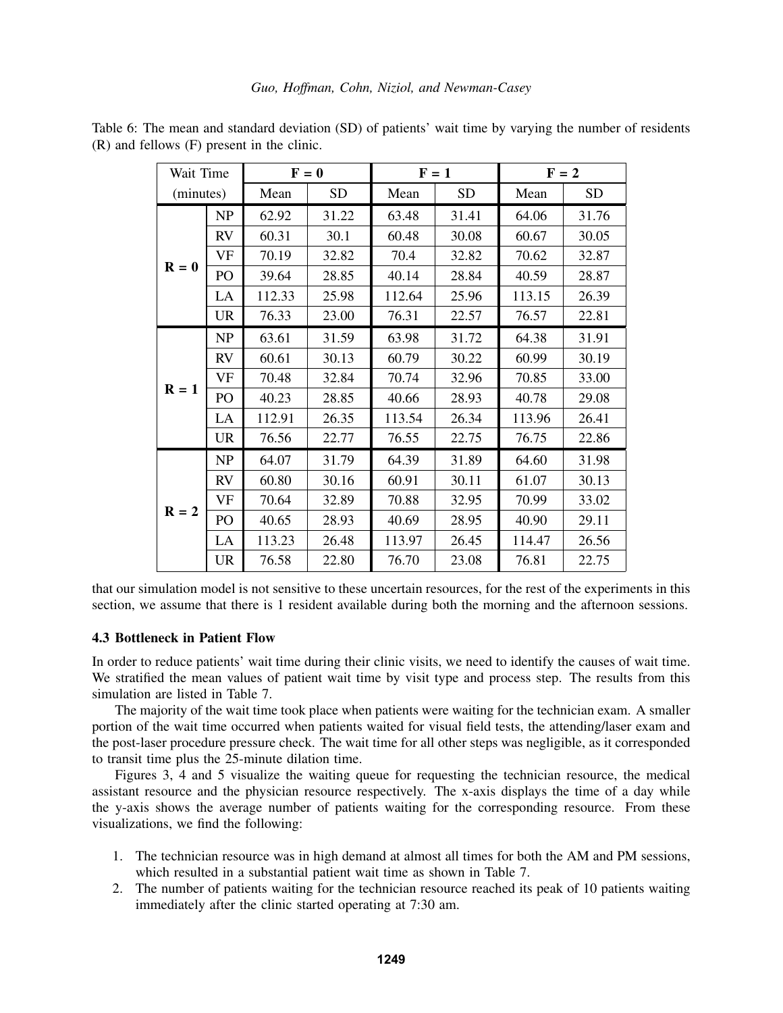|                           | $F = 0$<br>Wait Time |        | $F = 1$   |        |           | $F = 2$ |           |
|---------------------------|----------------------|--------|-----------|--------|-----------|---------|-----------|
| (minutes)                 |                      | Mean   | <b>SD</b> | Mean   | <b>SD</b> | Mean    | <b>SD</b> |
|                           | NP                   | 62.92  | 31.22     | 63.48  | 31.41     | 64.06   | 31.76     |
|                           | <b>RV</b>            | 60.31  | 30.1      | 60.48  | 30.08     | 60.67   | 30.05     |
|                           | VF                   | 70.19  | 32.82     | 70.4   | 32.82     | 70.62   | 32.87     |
| $\mathbf{R} = \mathbf{0}$ | PO                   | 39.64  | 28.85     | 40.14  | 28.84     | 40.59   | 28.87     |
|                           | LA                   | 112.33 | 25.98     | 112.64 | 25.96     | 113.15  | 26.39     |
|                           | <b>UR</b>            | 76.33  | 23.00     | 76.31  | 22.57     | 76.57   | 22.81     |
|                           | NP                   | 63.61  | 31.59     | 63.98  | 31.72     | 64.38   | 31.91     |
|                           | <b>RV</b>            | 60.61  | 30.13     | 60.79  | 30.22     | 60.99   | 30.19     |
|                           | <b>VF</b>            | 70.48  | 32.84     | 70.74  | 32.96     | 70.85   | 33.00     |
| $R = 1$                   | PO                   | 40.23  | 28.85     | 40.66  | 28.93     | 40.78   | 29.08     |
|                           | LA                   | 112.91 | 26.35     | 113.54 | 26.34     | 113.96  | 26.41     |
|                           | <b>UR</b>            | 76.56  | 22.77     | 76.55  | 22.75     | 76.75   | 22.86     |
|                           | NP                   | 64.07  | 31.79     | 64.39  | 31.89     | 64.60   | 31.98     |
|                           | <b>RV</b>            | 60.80  | 30.16     | 60.91  | 30.11     | 61.07   | 30.13     |
|                           | <b>VF</b>            | 70.64  | 32.89     | 70.88  | 32.95     | 70.99   | 33.02     |
| $R = 2$                   | PO <sub>1</sub>      | 40.65  | 28.93     | 40.69  | 28.95     | 40.90   | 29.11     |
|                           | LA                   | 113.23 | 26.48     | 113.97 | 26.45     | 114.47  | 26.56     |
|                           | <b>UR</b>            | 76.58  | 22.80     | 76.70  | 23.08     | 76.81   | 22.75     |

<span id="page-6-1"></span>Table 6: The mean and standard deviation (SD) of patients' wait time by varying the number of residents (R) and fellows (F) present in the clinic.

that our simulation model is not sensitive to these uncertain resources, for the rest of the experiments in this section, we assume that there is 1 resident available during both the morning and the afternoon sessions.

# <span id="page-6-0"></span>4.3 Bottleneck in Patient Flow

In order to reduce patients' wait time during their clinic visits, we need to identify the causes of wait time. We stratified the mean values of patient wait time by visit type and process step. The results from this simulation are listed in Table [7.](#page-7-0)

The majority of the wait time took place when patients were waiting for the technician exam. A smaller portion of the wait time occurred when patients waited for visual field tests, the attending/laser exam and the post-laser procedure pressure check. The wait time for all other steps was negligible, as it corresponded to transit time plus the 25-minute dilation time.

Figures [3,](#page-7-1) [4](#page-8-0) and [5](#page-8-0) visualize the waiting queue for requesting the technician resource, the medical assistant resource and the physician resource respectively. The x-axis displays the time of a day while the y-axis shows the average number of patients waiting for the corresponding resource. From these visualizations, we find the following:

- 1. The technician resource was in high demand at almost all times for both the AM and PM sessions, which resulted in a substantial patient wait time as shown in Table [7.](#page-7-0)
- 2. The number of patients waiting for the technician resource reached its peak of 10 patients waiting immediately after the clinic started operating at 7:30 am.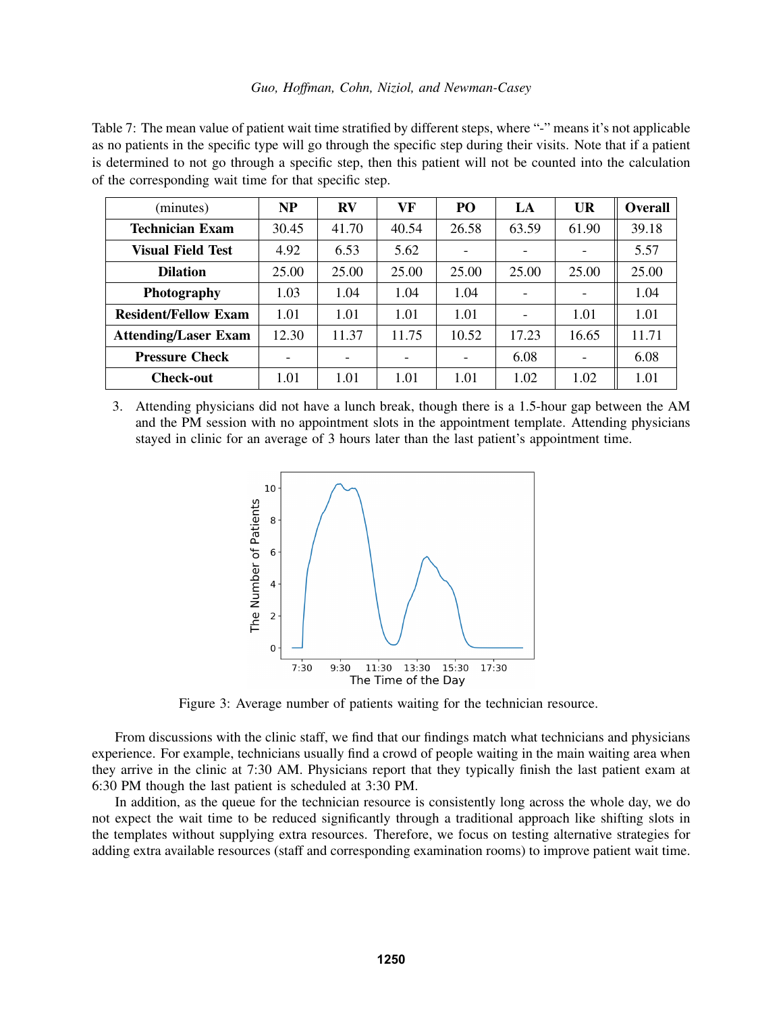<span id="page-7-0"></span>Table 7: The mean value of patient wait time stratified by different steps, where "-" means it's not applicable as no patients in the specific type will go through the specific step during their visits. Note that if a patient is determined to not go through a specific step, then this patient will not be counted into the calculation of the corresponding wait time for that specific step.

| (minutes)                   | <b>NP</b> | $\mathbf{R}\mathbf{V}$ | VF    | PO                       | LA    | <b>UR</b>                | Overall |
|-----------------------------|-----------|------------------------|-------|--------------------------|-------|--------------------------|---------|
| Technician Exam             | 30.45     | 41.70                  | 40.54 | 26.58                    | 63.59 | 61.90                    | 39.18   |
| <b>Visual Field Test</b>    | 4.92      | 6.53                   | 5.62  |                          |       |                          | 5.57    |
| <b>Dilation</b>             | 25.00     | 25.00                  | 25.00 | 25.00                    | 25.00 | 25.00                    | 25.00   |
| Photography                 | 1.03      | 1.04                   | 1.04  | 1.04                     |       | $\overline{\phantom{0}}$ | 1.04    |
| <b>Resident/Fellow Exam</b> | 1.01      | 1.01                   | 1.01  | 1.01                     |       | 1.01                     | 1.01    |
| <b>Attending/Laser Exam</b> | 12.30     | 11.37                  | 11.75 | 10.52                    | 17.23 | 16.65                    | 11.71   |
| <b>Pressure Check</b>       |           |                        | -     | $\overline{\phantom{0}}$ | 6.08  | $\overline{\phantom{0}}$ | 6.08    |
| <b>Check-out</b>            | 1.01      | 1.01                   | 1.01  | 1.01                     | 1.02  | 1.02                     | 1.01    |

<span id="page-7-1"></span>3. Attending physicians did not have a lunch break, though there is a 1.5-hour gap between the AM and the PM session with no appointment slots in the appointment template. Attending physicians stayed in clinic for an average of 3 hours later than the last patient's appointment time.



Figure 3: Average number of patients waiting for the technician resource.

From discussions with the clinic staff, we find that our findings match what technicians and physicians experience. For example, technicians usually find a crowd of people waiting in the main waiting area when they arrive in the clinic at 7:30 AM. Physicians report that they typically finish the last patient exam at 6:30 PM though the last patient is scheduled at 3:30 PM.

In addition, as the queue for the technician resource is consistently long across the whole day, we do not expect the wait time to be reduced significantly through a traditional approach like shifting slots in the templates without supplying extra resources. Therefore, we focus on testing alternative strategies for adding extra available resources (staff and corresponding examination rooms) to improve patient wait time.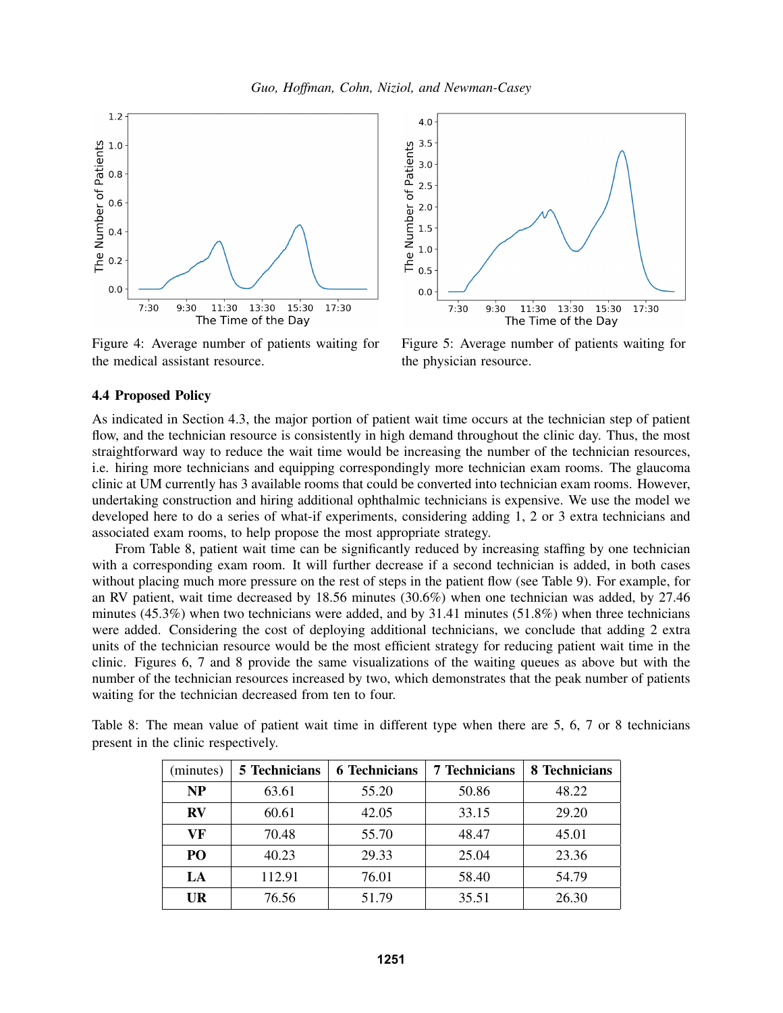<span id="page-8-0"></span>

Figure 4: Average number of patients waiting for the medical assistant resource.



Figure 5: Average number of patients waiting for the physician resource.

## 4.4 Proposed Policy

As indicated in Section [4.3,](#page-6-0) the major portion of patient wait time occurs at the technician step of patient flow, and the technician resource is consistently in high demand throughout the clinic day. Thus, the most straightforward way to reduce the wait time would be increasing the number of the technician resources, i.e. hiring more technicians and equipping correspondingly more technician exam rooms. The glaucoma clinic at UM currently has 3 available rooms that could be converted into technician exam rooms. However, undertaking construction and hiring additional ophthalmic technicians is expensive. We use the model we developed here to do a series of what-if experiments, considering adding 1, 2 or 3 extra technicians and associated exam rooms, to help propose the most appropriate strategy.

From Table [8,](#page-8-1) patient wait time can be significantly reduced by increasing staffing by one technician with a corresponding exam room. It will further decrease if a second technician is added, in both cases without placing much more pressure on the rest of steps in the patient flow (see Table [9\)](#page-9-0). For example, for an RV patient, wait time decreased by 18.56 minutes (30.6%) when one technician was added, by 27.46 minutes (45.3%) when two technicians were added, and by 31.41 minutes (51.8%) when three technicians were added. Considering the cost of deploying additional technicians, we conclude that adding 2 extra units of the technician resource would be the most efficient strategy for reducing patient wait time in the clinic. Figures [6,](#page-9-1) [7](#page-9-2) and [8](#page-9-2) provide the same visualizations of the waiting queues as above but with the number of the technician resources increased by two, which demonstrates that the peak number of patients waiting for the technician decreased from ten to four.

| (minutes) | 5 Technicians | <b>6 Technicians</b> | <b>7 Technicians</b> | 8 Technicians |
|-----------|---------------|----------------------|----------------------|---------------|
| <b>NP</b> | 63.61         | 55.20                | 50.86                | 48.22         |
| $\bf RV$  | 60.61         | 42.05                | 33.15                | 29.20         |
| VF        | 70.48         | 55.70                | 48.47                | 45.01         |
| PO        | 40.23         | 29.33                | 25.04                | 23.36         |
| LA        | 112.91        | 76.01                | 58.40                | 54.79         |
| UR        | 76.56         | 51.79                | 35.51                | 26.30         |

<span id="page-8-1"></span>Table 8: The mean value of patient wait time in different type when there are 5, 6, 7 or 8 technicians present in the clinic respectively.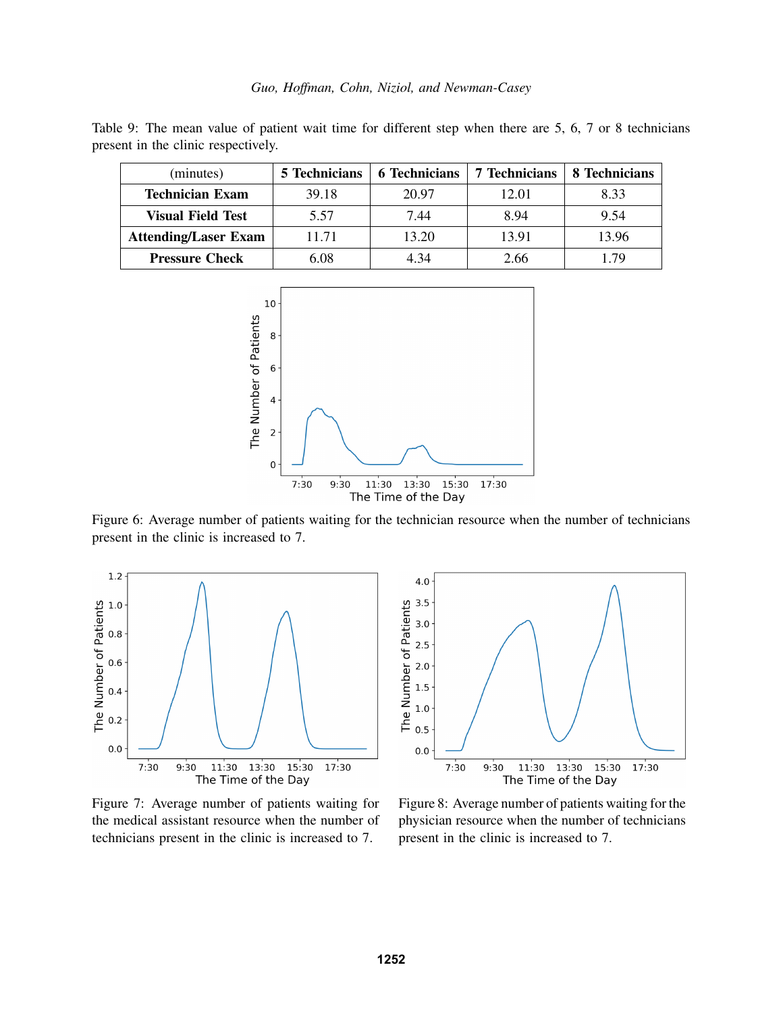<span id="page-9-0"></span>Table 9: The mean value of patient wait time for different step when there are 5, 6, 7 or 8 technicians present in the clinic respectively.

<span id="page-9-1"></span>

| (minutes)                   | <b>5</b> Technicians | <b>6 Technicians</b> | <b>7 Technicians</b> | 8 Technicians |
|-----------------------------|----------------------|----------------------|----------------------|---------------|
| <b>Technician Exam</b>      | 39.18                | 20.97                | 12.01                | 8.33          |
| <b>Visual Field Test</b>    | 5.57                 | 7.44                 | 8.94                 | 9.54          |
| <b>Attending/Laser Exam</b> | 11.71                | 13.20                | 13.91                | 13.96         |
| <b>Pressure Check</b>       | 6.08                 | 4.34                 | 2.66                 | 179           |



Figure 6: Average number of patients waiting for the technician resource when the number of technicians present in the clinic is increased to 7.

<span id="page-9-2"></span>

Figure 7: Average number of patients waiting for the medical assistant resource when the number of technicians present in the clinic is increased to 7.



Figure 8: Average number of patients waiting for the physician resource when the number of technicians present in the clinic is increased to 7.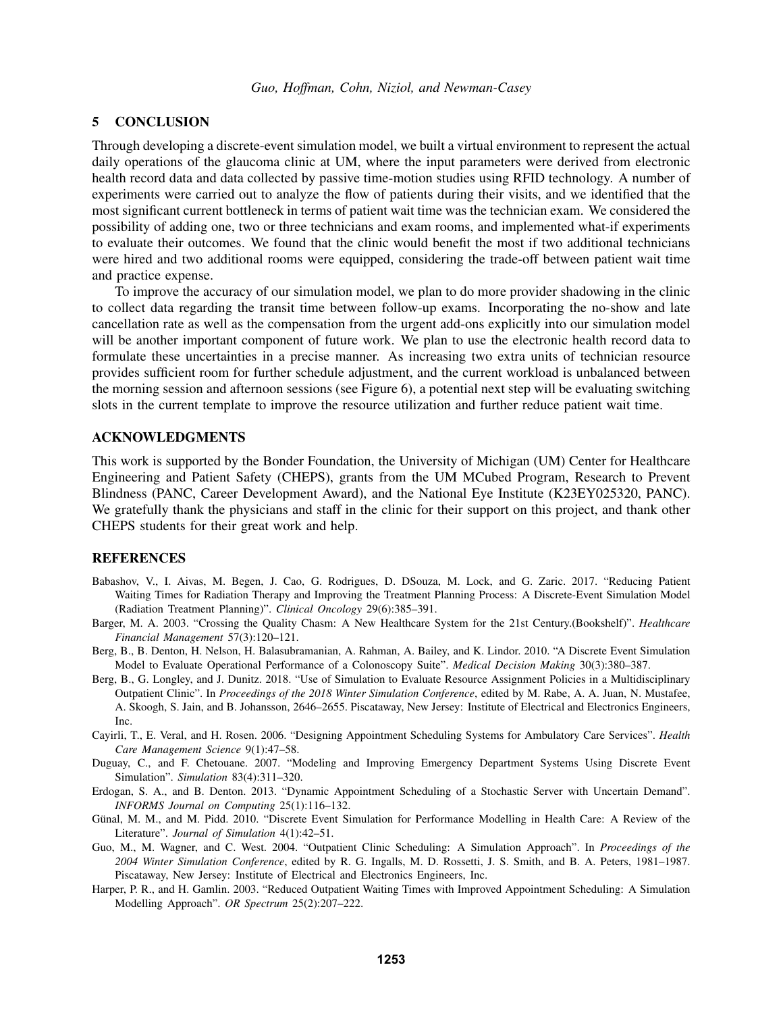## <span id="page-10-8"></span>5 CONCLUSION

Through developing a discrete-event simulation model, we built a virtual environment to represent the actual daily operations of the glaucoma clinic at UM, where the input parameters were derived from electronic health record data and data collected by passive time-motion studies using RFID technology. A number of experiments were carried out to analyze the flow of patients during their visits, and we identified that the most significant current bottleneck in terms of patient wait time was the technician exam. We considered the possibility of adding one, two or three technicians and exam rooms, and implemented what-if experiments to evaluate their outcomes. We found that the clinic would benefit the most if two additional technicians were hired and two additional rooms were equipped, considering the trade-off between patient wait time and practice expense.

To improve the accuracy of our simulation model, we plan to do more provider shadowing in the clinic to collect data regarding the transit time between follow-up exams. Incorporating the no-show and late cancellation rate as well as the compensation from the urgent add-ons explicitly into our simulation model will be another important component of future work. We plan to use the electronic health record data to formulate these uncertainties in a precise manner. As increasing two extra units of technician resource provides sufficient room for further schedule adjustment, and the current workload is unbalanced between the morning session and afternoon sessions (see Figure [6\)](#page-9-1), a potential next step will be evaluating switching slots in the current template to improve the resource utilization and further reduce patient wait time.

### ACKNOWLEDGMENTS

This work is supported by the Bonder Foundation, the University of Michigan (UM) Center for Healthcare Engineering and Patient Safety (CHEPS), grants from the UM MCubed Program, Research to Prevent Blindness (PANC, Career Development Award), and the National Eye Institute (K23EY025320, PANC). We gratefully thank the physicians and staff in the clinic for their support on this project, and thank other CHEPS students for their great work and help.

## **REFERENCES**

- <span id="page-10-6"></span>Babashov, V., I. Aivas, M. Begen, J. Cao, G. Rodrigues, D. DSouza, M. Lock, and G. Zaric. 2017. "Reducing Patient Waiting Times for Radiation Therapy and Improving the Treatment Planning Process: A Discrete-Event Simulation Model (Radiation Treatment Planning)". *Clinical Oncology* 29(6):385–391.
- <span id="page-10-0"></span>Barger, M. A. 2003. "Crossing the Quality Chasm: A New Healthcare System for the 21st Century.(Bookshelf)". *Healthcare Financial Management* 57(3):120–121.
- <span id="page-10-9"></span>Berg, B., B. Denton, H. Nelson, H. Balasubramanian, A. Rahman, A. Bailey, and K. Lindor. 2010. "A Discrete Event Simulation Model to Evaluate Operational Performance of a Colonoscopy Suite". *Medical Decision Making* 30(3):380–387.
- <span id="page-10-7"></span>Berg, B., G. Longley, and J. Dunitz. 2018. "Use of Simulation to Evaluate Resource Assignment Policies in a Multidisciplinary Outpatient Clinic". In *Proceedings of the 2018 Winter Simulation Conference*, edited by M. Rabe, A. A. Juan, N. Mustafee, A. Skoogh, S. Jain, and B. Johansson, 2646–2655. Piscataway, New Jersey: Institute of Electrical and Electronics Engineers, Inc.
- <span id="page-10-5"></span>Cayirli, T., E. Veral, and H. Rosen. 2006. "Designing Appointment Scheduling Systems for Ambulatory Care Services". *Health Care Management Science* 9(1):47–58.
- <span id="page-10-2"></span>Duguay, C., and F. Chetouane. 2007. "Modeling and Improving Emergency Department Systems Using Discrete Event Simulation". *Simulation* 83(4):311–320.
- <span id="page-10-10"></span>Erdogan, S. A., and B. Denton. 2013. "Dynamic Appointment Scheduling of a Stochastic Server with Uncertain Demand". *INFORMS Journal on Computing* 25(1):116–132.
- <span id="page-10-1"></span>Günal, M. M., and M. Pidd. 2010. "Discrete Event Simulation for Performance Modelling in Health Care: A Review of the Literature". *Journal of Simulation* 4(1):42–51.
- <span id="page-10-4"></span>Guo, M., M. Wagner, and C. West. 2004. "Outpatient Clinic Scheduling: A Simulation Approach". In *Proceedings of the 2004 Winter Simulation Conference*, edited by R. G. Ingalls, M. D. Rossetti, J. S. Smith, and B. A. Peters, 1981–1987. Piscataway, New Jersey: Institute of Electrical and Electronics Engineers, Inc.
- <span id="page-10-3"></span>Harper, P. R., and H. Gamlin. 2003. "Reduced Outpatient Waiting Times with Improved Appointment Scheduling: A Simulation Modelling Approach". *OR Spectrum* 25(2):207–222.